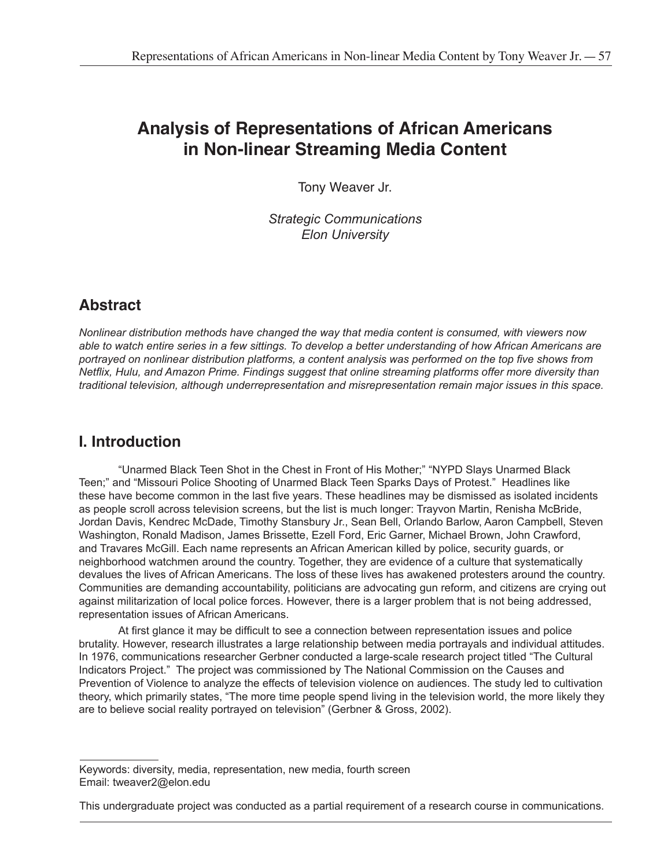# **Analysis of Representations of African Americans in Non-linear Streaming Media Content**

Tony Weaver Jr.

*Strategic Communications Elon University*

## **Abstract**

*Nonlinear distribution methods have changed the way that media content is consumed, with viewers now able to watch entire series in a few sittings. To develop a better understanding of how African Americans are portrayed on nonlinear distribution platforms, a content analysis was performed on the top five shows from Netflix, Hulu, and Amazon Prime. Findings suggest that online streaming platforms offer more diversity than traditional television, although underrepresentation and misrepresentation remain major issues in this space.*

## **I. Introduction**

"Unarmed Black Teen Shot in the Chest in Front of His Mother;" "NYPD Slays Unarmed Black Teen;" and "Missouri Police Shooting of Unarmed Black Teen Sparks Days of Protest." Headlines like these have become common in the last five years. These headlines may be dismissed as isolated incidents as people scroll across television screens, but the list is much longer: Trayvon Martin, Renisha McBride, Jordan Davis, Kendrec McDade, Timothy Stansbury Jr., Sean Bell, Orlando Barlow, Aaron Campbell, Steven Washington, Ronald Madison, James Brissette, Ezell Ford, Eric Garner, Michael Brown, John Crawford, and Travares McGill. Each name represents an African American killed by police, security guards, or neighborhood watchmen around the country. Together, they are evidence of a culture that systematically devalues the lives of African Americans. The loss of these lives has awakened protesters around the country. Communities are demanding accountability, politicians are advocating gun reform, and citizens are crying out against militarization of local police forces. However, there is a larger problem that is not being addressed, representation issues of African Americans.

At first glance it may be difficult to see a connection between representation issues and police brutality. However, research illustrates a large relationship between media portrayals and individual attitudes. In 1976, communications researcher Gerbner conducted a large-scale research project titled "The Cultural Indicators Project." The project was commissioned by The National Commission on the Causes and Prevention of Violence to analyze the effects of television violence on audiences. The study led to cultivation theory, which primarily states, "The more time people spend living in the television world, the more likely they are to believe social reality portrayed on television" (Gerbner & Gross, 2002).

Keywords: diversity, media, representation, new media, fourth screen Email: tweaver2@elon.edu

This undergraduate project was conducted as a partial requirement of a research course in communications.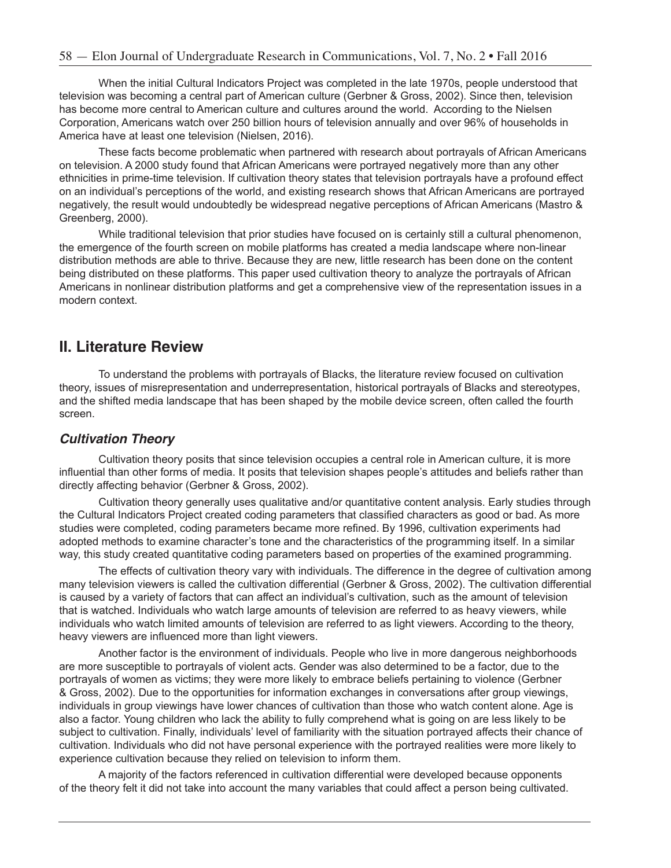When the initial Cultural Indicators Project was completed in the late 1970s, people understood that television was becoming a central part of American culture (Gerbner & Gross, 2002). Since then, television has become more central to American culture and cultures around the world. According to the Nielsen Corporation, Americans watch over 250 billion hours of television annually and over 96% of households in America have at least one television (Nielsen, 2016).

These facts become problematic when partnered with research about portrayals of African Americans on television. A 2000 study found that African Americans were portrayed negatively more than any other ethnicities in prime-time television. If cultivation theory states that television portrayals have a profound effect on an individual's perceptions of the world, and existing research shows that African Americans are portrayed negatively, the result would undoubtedly be widespread negative perceptions of African Americans (Mastro & Greenberg, 2000).

While traditional television that prior studies have focused on is certainly still a cultural phenomenon, the emergence of the fourth screen on mobile platforms has created a media landscape where non-linear distribution methods are able to thrive. Because they are new, little research has been done on the content being distributed on these platforms. This paper used cultivation theory to analyze the portrayals of African Americans in nonlinear distribution platforms and get a comprehensive view of the representation issues in a modern context.

## **II. Literature Review**

To understand the problems with portrayals of Blacks, the literature review focused on cultivation theory, issues of misrepresentation and underrepresentation, historical portrayals of Blacks and stereotypes, and the shifted media landscape that has been shaped by the mobile device screen, often called the fourth screen.

### *Cultivation Theory*

Cultivation theory posits that since television occupies a central role in American culture, it is more influential than other forms of media. It posits that television shapes people's attitudes and beliefs rather than directly affecting behavior (Gerbner & Gross, 2002).

Cultivation theory generally uses qualitative and/or quantitative content analysis. Early studies through the Cultural Indicators Project created coding parameters that classified characters as good or bad. As more studies were completed, coding parameters became more refined. By 1996, cultivation experiments had adopted methods to examine character's tone and the characteristics of the programming itself. In a similar way, this study created quantitative coding parameters based on properties of the examined programming.

The effects of cultivation theory vary with individuals. The difference in the degree of cultivation among many television viewers is called the cultivation differential (Gerbner & Gross, 2002). The cultivation differential is caused by a variety of factors that can affect an individual's cultivation, such as the amount of television that is watched. Individuals who watch large amounts of television are referred to as heavy viewers, while individuals who watch limited amounts of television are referred to as light viewers. According to the theory, heavy viewers are influenced more than light viewers.

Another factor is the environment of individuals. People who live in more dangerous neighborhoods are more susceptible to portrayals of violent acts. Gender was also determined to be a factor, due to the portrayals of women as victims; they were more likely to embrace beliefs pertaining to violence (Gerbner & Gross, 2002). Due to the opportunities for information exchanges in conversations after group viewings, individuals in group viewings have lower chances of cultivation than those who watch content alone. Age is also a factor. Young children who lack the ability to fully comprehend what is going on are less likely to be subject to cultivation. Finally, individuals' level of familiarity with the situation portrayed affects their chance of cultivation. Individuals who did not have personal experience with the portrayed realities were more likely to experience cultivation because they relied on television to inform them.

A majority of the factors referenced in cultivation differential were developed because opponents of the theory felt it did not take into account the many variables that could affect a person being cultivated.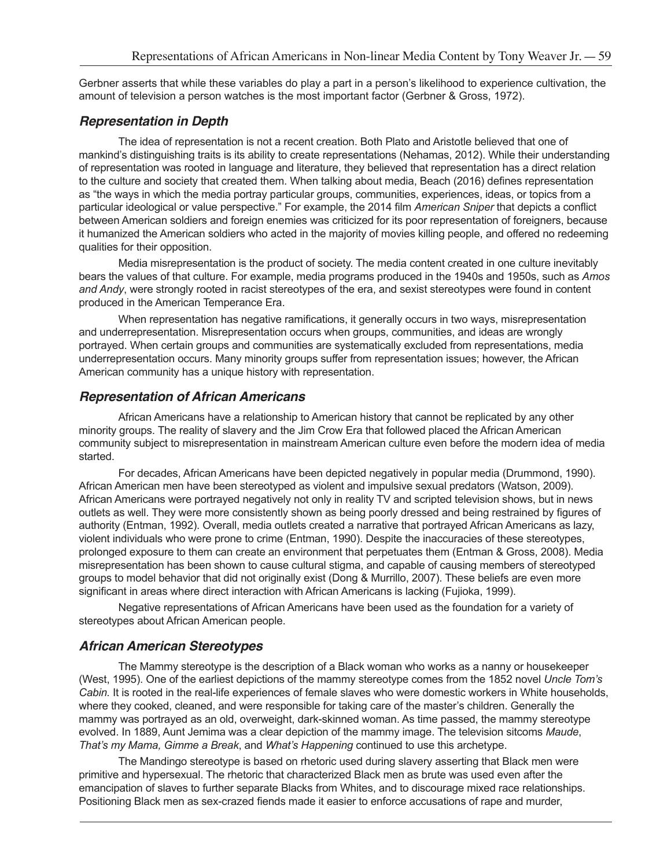Gerbner asserts that while these variables do play a part in a person's likelihood to experience cultivation, the amount of television a person watches is the most important factor (Gerbner & Gross, 1972).

#### *Representation in Depth*

The idea of representation is not a recent creation. Both Plato and Aristotle believed that one of mankind's distinguishing traits is its ability to create representations (Nehamas, 2012). While their understanding of representation was rooted in language and literature, they believed that representation has a direct relation to the culture and society that created them. When talking about media, Beach (2016) defines representation as "the ways in which the media portray particular groups, communities, experiences, ideas, or topics from a particular ideological or value perspective." For example, the 2014 film *American Sniper* that depicts a conflict between American soldiers and foreign enemies was criticized for its poor representation of foreigners, because it humanized the American soldiers who acted in the majority of movies killing people, and offered no redeeming qualities for their opposition.

Media misrepresentation is the product of society. The media content created in one culture inevitably bears the values of that culture. For example, media programs produced in the 1940s and 1950s, such as *Amos and Andy*, were strongly rooted in racist stereotypes of the era, and sexist stereotypes were found in content produced in the American Temperance Era.

When representation has negative ramifications, it generally occurs in two ways, misrepresentation and underrepresentation. Misrepresentation occurs when groups, communities, and ideas are wrongly portrayed. When certain groups and communities are systematically excluded from representations, media underrepresentation occurs. Many minority groups suffer from representation issues; however, the African American community has a unique history with representation.

#### *Representation of African Americans*

African Americans have a relationship to American history that cannot be replicated by any other minority groups. The reality of slavery and the Jim Crow Era that followed placed the African American community subject to misrepresentation in mainstream American culture even before the modern idea of media started.

For decades, African Americans have been depicted negatively in popular media (Drummond, 1990). African American men have been stereotyped as violent and impulsive sexual predators (Watson, 2009). African Americans were portrayed negatively not only in reality TV and scripted television shows, but in news outlets as well. They were more consistently shown as being poorly dressed and being restrained by figures of authority (Entman, 1992). Overall, media outlets created a narrative that portrayed African Americans as lazy, violent individuals who were prone to crime (Entman, 1990). Despite the inaccuracies of these stereotypes, prolonged exposure to them can create an environment that perpetuates them (Entman & Gross, 2008). Media misrepresentation has been shown to cause cultural stigma, and capable of causing members of stereotyped groups to model behavior that did not originally exist (Dong & Murrillo, 2007). These beliefs are even more significant in areas where direct interaction with African Americans is lacking (Fujioka, 1999).

Negative representations of African Americans have been used as the foundation for a variety of stereotypes about African American people.

#### *African American Stereotypes*

The Mammy stereotype is the description of a Black woman who works as a nanny or housekeeper (West, 1995). One of the earliest depictions of the mammy stereotype comes from the 1852 novel *Uncle Tom's Cabin.* It is rooted in the real-life experiences of female slaves who were domestic workers in White households, where they cooked, cleaned, and were responsible for taking care of the master's children. Generally the mammy was portrayed as an old, overweight, dark-skinned woman. As time passed, the mammy stereotype evolved. In 1889, Aunt Jemima was a clear depiction of the mammy image. The television sitcoms *Maude*, *That's my Mama, Gimme a Break*, and *What's Happening* continued to use this archetype.

The Mandingo stereotype is based on rhetoric used during slavery asserting that Black men were primitive and hypersexual. The rhetoric that characterized Black men as brute was used even after the emancipation of slaves to further separate Blacks from Whites, and to discourage mixed race relationships. Positioning Black men as sex-crazed fiends made it easier to enforce accusations of rape and murder,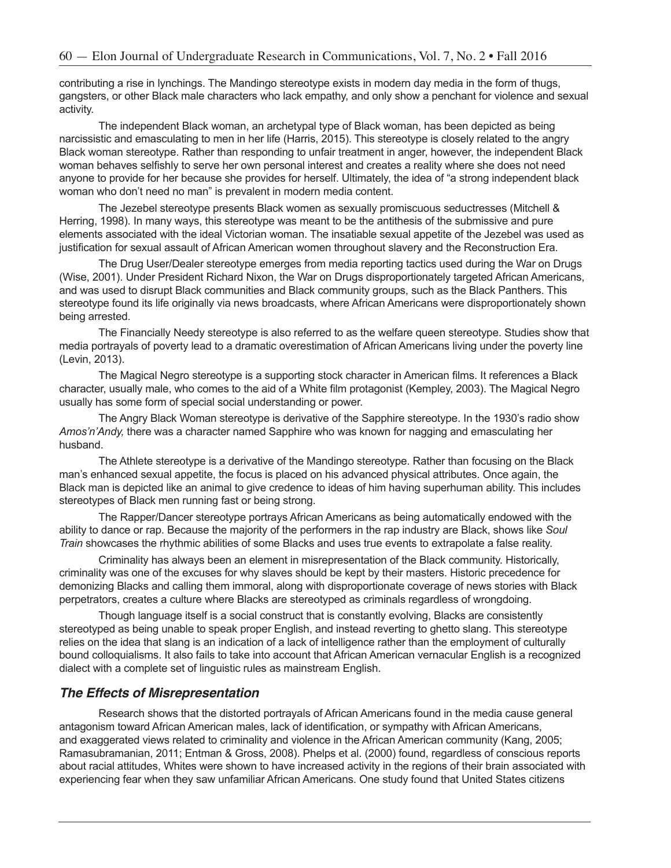contributing a rise in lynchings. The Mandingo stereotype exists in modern day media in the form of thugs, gangsters, or other Black male characters who lack empathy, and only show a penchant for violence and sexual activity.

The independent Black woman, an archetypal type of Black woman, has been depicted as being narcissistic and emasculating to men in her life (Harris, 2015). This stereotype is closely related to the angry Black woman stereotype. Rather than responding to unfair treatment in anger, however, the independent Black woman behaves selfishly to serve her own personal interest and creates a reality where she does not need anyone to provide for her because she provides for herself. Ultimately, the idea of "a strong independent black woman who don't need no man" is prevalent in modern media content.

The Jezebel stereotype presents Black women as sexually promiscuous seductresses (Mitchell & Herring, 1998). In many ways, this stereotype was meant to be the antithesis of the submissive and pure elements associated with the ideal Victorian woman. The insatiable sexual appetite of the Jezebel was used as justification for sexual assault of African American women throughout slavery and the Reconstruction Era.

The Drug User/Dealer stereotype emerges from media reporting tactics used during the War on Drugs (Wise, 2001). Under President Richard Nixon, the War on Drugs disproportionately targeted African Americans, and was used to disrupt Black communities and Black community groups, such as the Black Panthers. This stereotype found its life originally via news broadcasts, where African Americans were disproportionately shown being arrested.

The Financially Needy stereotype is also referred to as the welfare queen stereotype. Studies show that media portrayals of poverty lead to a dramatic overestimation of African Americans living under the poverty line (Levin, 2013).

The Magical Negro stereotype is a supporting stock character in American films. It references a Black character, usually male, who comes to the aid of a White film protagonist (Kempley, 2003). The Magical Negro usually has some form of special social understanding or power.

The Angry Black Woman stereotype is derivative of the Sapphire stereotype. In the 1930's radio show *Amos'n'Andy,* there was a character named Sapphire who was known for nagging and emasculating her husband.

The Athlete stereotype is a derivative of the Mandingo stereotype. Rather than focusing on the Black man's enhanced sexual appetite, the focus is placed on his advanced physical attributes. Once again, the Black man is depicted like an animal to give credence to ideas of him having superhuman ability. This includes stereotypes of Black men running fast or being strong.

The Rapper/Dancer stereotype portrays African Americans as being automatically endowed with the ability to dance or rap. Because the majority of the performers in the rap industry are Black, shows like *Soul Train* showcases the rhythmic abilities of some Blacks and uses true events to extrapolate a false reality.

Criminality has always been an element in misrepresentation of the Black community. Historically, criminality was one of the excuses for why slaves should be kept by their masters. Historic precedence for demonizing Blacks and calling them immoral, along with disproportionate coverage of news stories with Black perpetrators, creates a culture where Blacks are stereotyped as criminals regardless of wrongdoing.

Though language itself is a social construct that is constantly evolving, Blacks are consistently stereotyped as being unable to speak proper English, and instead reverting to ghetto slang. This stereotype relies on the idea that slang is an indication of a lack of intelligence rather than the employment of culturally bound colloquialisms. It also fails to take into account that African American vernacular English is a recognized dialect with a complete set of linguistic rules as mainstream English.

#### *The Effects of Misrepresentation*

Research shows that the distorted portrayals of African Americans found in the media cause general antagonism toward African American males, lack of identification, or sympathy with African Americans, and exaggerated views related to criminality and violence in the African American community (Kang, 2005; Ramasubramanian, 2011; Entman & Gross, 2008). Phelps et al. (2000) found, regardless of conscious reports about racial attitudes, Whites were shown to have increased activity in the regions of their brain associated with experiencing fear when they saw unfamiliar African Americans. One study found that United States citizens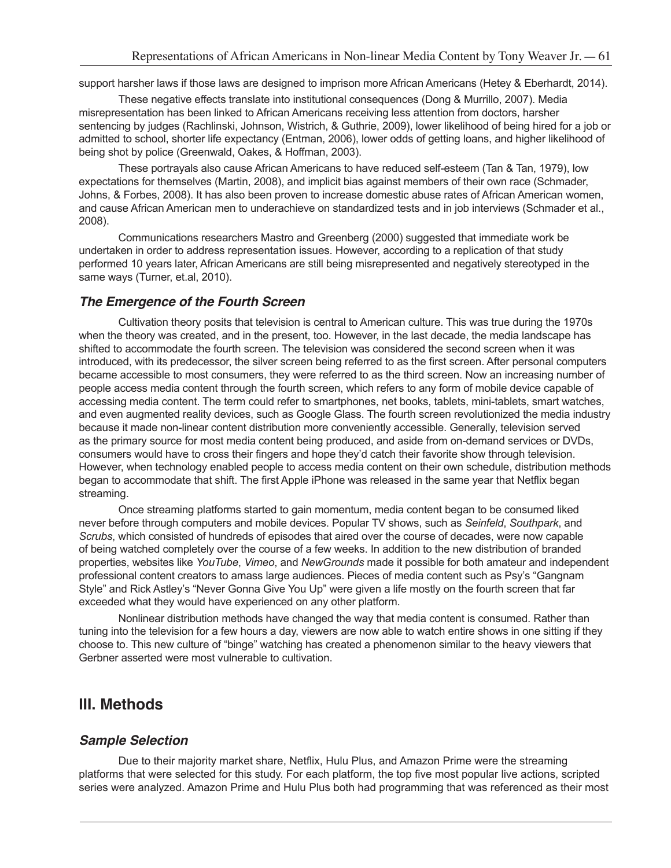support harsher laws if those laws are designed to imprison more African Americans (Hetey & Eberhardt, 2014).

These negative effects translate into institutional consequences (Dong & Murrillo, 2007). Media misrepresentation has been linked to African Americans receiving less attention from doctors, harsher sentencing by judges (Rachlinski, Johnson, Wistrich, & Guthrie, 2009), lower likelihood of being hired for a job or admitted to school, shorter life expectancy (Entman, 2006), lower odds of getting loans, and higher likelihood of being shot by police (Greenwald, Oakes, & Hoffman, 2003).

These portrayals also cause African Americans to have reduced self-esteem (Tan & Tan, 1979), low expectations for themselves (Martin, 2008), and implicit bias against members of their own race (Schmader, Johns, & Forbes, 2008). It has also been proven to increase domestic abuse rates of African American women, and cause African American men to underachieve on standardized tests and in job interviews (Schmader et al., 2008).

Communications researchers Mastro and Greenberg (2000) suggested that immediate work be undertaken in order to address representation issues. However, according to a replication of that study performed 10 years later, African Americans are still being misrepresented and negatively stereotyped in the same ways (Turner, et.al, 2010).

#### *The Emergence of the Fourth Screen*

Cultivation theory posits that television is central to American culture. This was true during the 1970s when the theory was created, and in the present, too. However, in the last decade, the media landscape has shifted to accommodate the fourth screen. The television was considered the second screen when it was introduced, with its predecessor, the silver screen being referred to as the first screen. After personal computers became accessible to most consumers, they were referred to as the third screen. Now an increasing number of people access media content through the fourth screen, which refers to any form of mobile device capable of accessing media content. The term could refer to smartphones, net books, tablets, mini-tablets, smart watches, and even augmented reality devices, such as Google Glass. The fourth screen revolutionized the media industry because it made non-linear content distribution more conveniently accessible. Generally, television served as the primary source for most media content being produced, and aside from on-demand services or DVDs, consumers would have to cross their fingers and hope they'd catch their favorite show through television. However, when technology enabled people to access media content on their own schedule, distribution methods began to accommodate that shift. The first Apple iPhone was released in the same year that Netflix began streaming.

Once streaming platforms started to gain momentum, media content began to be consumed liked never before through computers and mobile devices. Popular TV shows, such as *Seinfeld*, *Southpark*, and *Scrubs*, which consisted of hundreds of episodes that aired over the course of decades, were now capable of being watched completely over the course of a few weeks. In addition to the new distribution of branded properties, websites like *YouTube*, *Vimeo*, and *NewGrounds* made it possible for both amateur and independent professional content creators to amass large audiences. Pieces of media content such as Psy's "Gangnam Style" and Rick Astley's "Never Gonna Give You Up" were given a life mostly on the fourth screen that far exceeded what they would have experienced on any other platform.

Nonlinear distribution methods have changed the way that media content is consumed. Rather than tuning into the television for a few hours a day, viewers are now able to watch entire shows in one sitting if they choose to. This new culture of "binge" watching has created a phenomenon similar to the heavy viewers that Gerbner asserted were most vulnerable to cultivation.

### **III. Methods**

#### *Sample Selection*

Due to their majority market share, Netflix, Hulu Plus, and Amazon Prime were the streaming platforms that were selected for this study. For each platform, the top five most popular live actions, scripted series were analyzed. Amazon Prime and Hulu Plus both had programming that was referenced as their most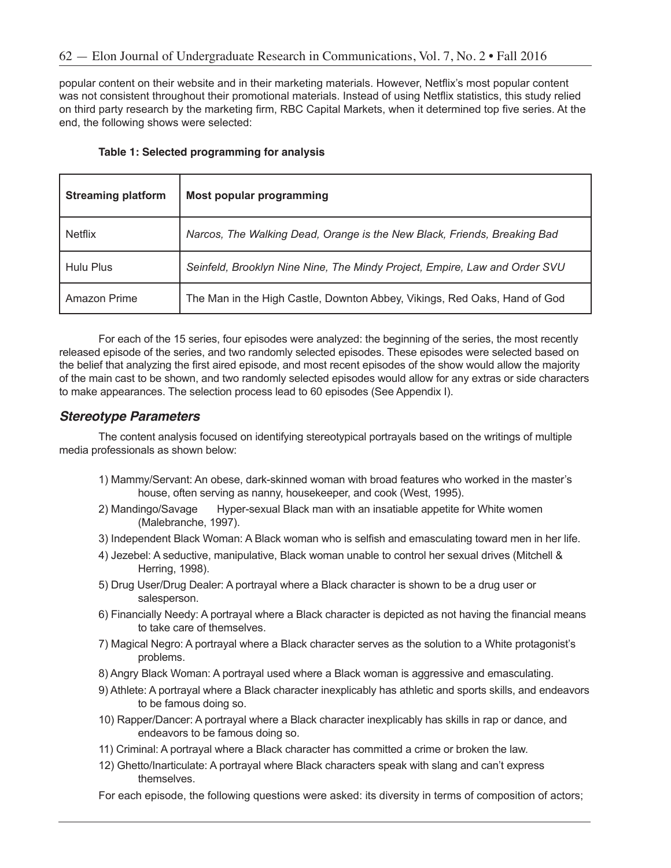popular content on their website and in their marketing materials. However, Netflix's most popular content was not consistent throughout their promotional materials. Instead of using Netflix statistics, this study relied on third party research by the marketing firm, RBC Capital Markets, when it determined top five series. At the end, the following shows were selected:

| <b>Streaming platform</b> | <b>Most popular programming</b>                                            |
|---------------------------|----------------------------------------------------------------------------|
| <b>Netflix</b>            | Narcos, The Walking Dead, Orange is the New Black, Friends, Breaking Bad   |
| Hulu Plus                 | Seinfeld, Brooklyn Nine Nine, The Mindy Project, Empire, Law and Order SVU |
| Amazon Prime              | The Man in the High Castle, Downton Abbey, Vikings, Red Oaks, Hand of God  |

|  | Table 1: Selected programming for analysis |  |  |
|--|--------------------------------------------|--|--|
|--|--------------------------------------------|--|--|

For each of the 15 series, four episodes were analyzed: the beginning of the series, the most recently released episode of the series, and two randomly selected episodes. These episodes were selected based on the belief that analyzing the first aired episode, and most recent episodes of the show would allow the majority of the main cast to be shown, and two randomly selected episodes would allow for any extras or side characters to make appearances. The selection process lead to 60 episodes (See Appendix I).

#### *Stereotype Parameters*

The content analysis focused on identifying stereotypical portrayals based on the writings of multiple media professionals as shown below:

- 1) Mammy/Servant: An obese, dark-skinned woman with broad features who worked in the master's house, often serving as nanny, housekeeper, and cook (West, 1995).
- 2) Mandingo/Savage Hyper-sexual Black man with an insatiable appetite for White women (Malebranche, 1997).
- 3) Independent Black Woman: A Black woman who is selfish and emasculating toward men in her life.
- 4) Jezebel: A seductive, manipulative, Black woman unable to control her sexual drives (Mitchell & Herring, 1998).
- 5) Drug User/Drug Dealer: A portrayal where a Black character is shown to be a drug user or salesperson.
- 6) Financially Needy: A portrayal where a Black character is depicted as not having the financial means to take care of themselves.
- 7) Magical Negro: A portrayal where a Black character serves as the solution to a White protagonist's problems.
- 8) Angry Black Woman: A portrayal used where a Black woman is aggressive and emasculating.
- 9) Athlete: A portrayal where a Black character inexplicably has athletic and sports skills, and endeavors to be famous doing so.
- 10) Rapper/Dancer: A portrayal where a Black character inexplicably has skills in rap or dance, and endeavors to be famous doing so.
- 11) Criminal: A portrayal where a Black character has committed a crime or broken the law.
- 12) Ghetto/Inarticulate: A portrayal where Black characters speak with slang and can't express themselves.
- For each episode, the following questions were asked: its diversity in terms of composition of actors;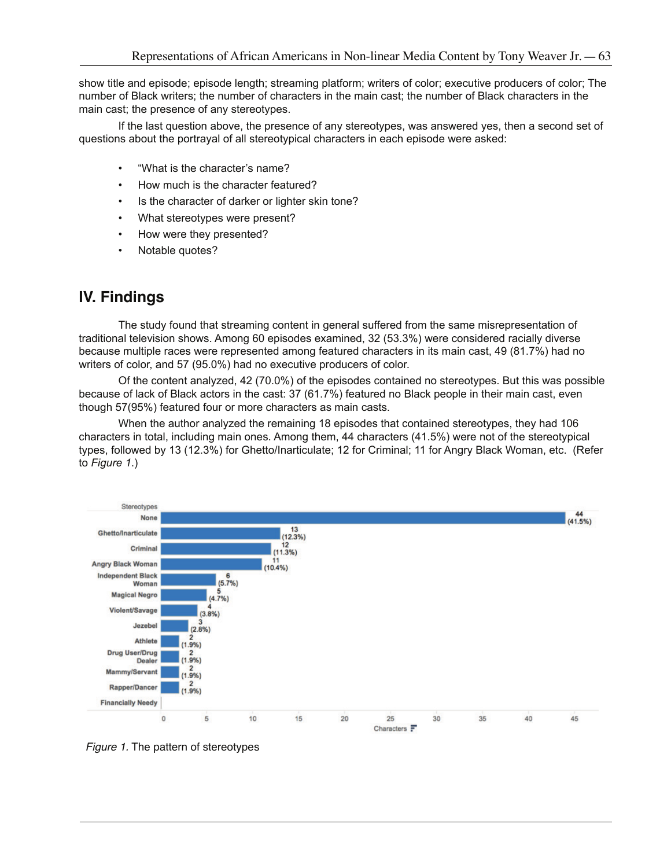show title and episode; episode length; streaming platform; writers of color; executive producers of color; The number of Black writers; the number of characters in the main cast; the number of Black characters in the main cast; the presence of any stereotypes.

If the last question above, the presence of any stereotypes, was answered yes, then a second set of questions about the portrayal of all stereotypical characters in each episode were asked:

- "What is the character's name?
- How much is the character featured?
- Is the character of darker or lighter skin tone?
- What stereotypes were present?
- How were they presented?
- Notable quotes?

## **IV. Findings**

The study found that streaming content in general suffered from the same misrepresentation of traditional television shows. Among 60 episodes examined, 32 (53.3%) were considered racially diverse because multiple races were represented among featured characters in its main cast, 49 (81.7%) had no writers of color, and 57 (95.0%) had no executive producers of color.

Of the content analyzed, 42 (70.0%) of the episodes contained no stereotypes. But this was possible because of lack of Black actors in the cast: 37 (61.7%) featured no Black people in their main cast, even though 57(95%) featured four or more characters as main casts.

When the author analyzed the remaining 18 episodes that contained stereotypes, they had 106 characters in total, including main ones. Among them, 44 characters (41.5%) were not of the stereotypical types, followed by 13 (12.3%) for Ghetto/Inarticulate; 12 for Criminal; 11 for Angry Black Woman, etc. (Refer to *Figure 1*.)



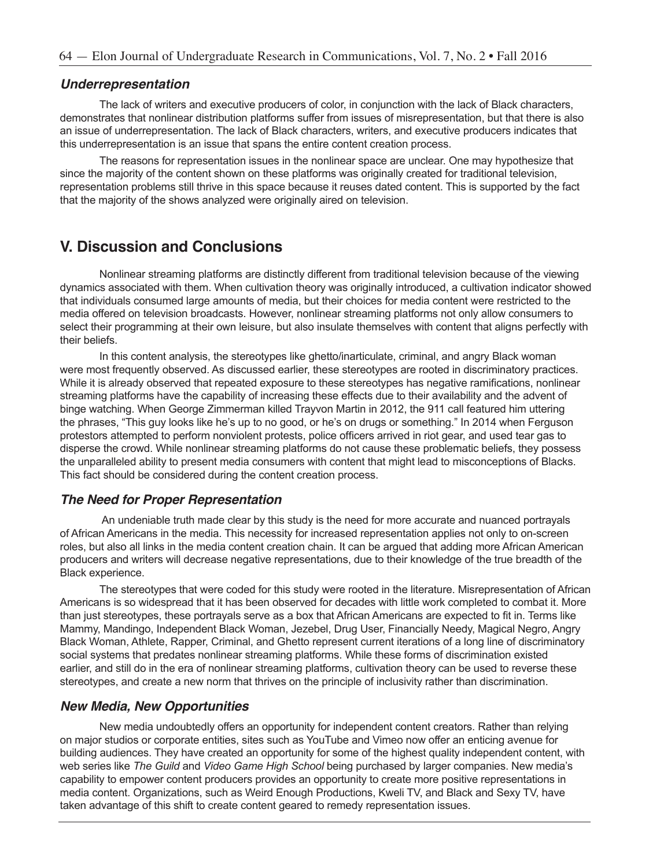#### *Underrepresentation*

The lack of writers and executive producers of color, in conjunction with the lack of Black characters, demonstrates that nonlinear distribution platforms suffer from issues of misrepresentation, but that there is also an issue of underrepresentation. The lack of Black characters, writers, and executive producers indicates that this underrepresentation is an issue that spans the entire content creation process.

The reasons for representation issues in the nonlinear space are unclear. One may hypothesize that since the majority of the content shown on these platforms was originally created for traditional television, representation problems still thrive in this space because it reuses dated content. This is supported by the fact that the majority of the shows analyzed were originally aired on television.

## **V. Discussion and Conclusions**

Nonlinear streaming platforms are distinctly different from traditional television because of the viewing dynamics associated with them. When cultivation theory was originally introduced, a cultivation indicator showed that individuals consumed large amounts of media, but their choices for media content were restricted to the media offered on television broadcasts. However, nonlinear streaming platforms not only allow consumers to select their programming at their own leisure, but also insulate themselves with content that aligns perfectly with their beliefs.

In this content analysis, the stereotypes like ghetto/inarticulate, criminal, and angry Black woman were most frequently observed. As discussed earlier, these stereotypes are rooted in discriminatory practices. While it is already observed that repeated exposure to these stereotypes has negative ramifications, nonlinear streaming platforms have the capability of increasing these effects due to their availability and the advent of binge watching. When George Zimmerman killed Trayvon Martin in 2012, the 911 call featured him uttering the phrases, "This guy looks like he's up to no good, or he's on drugs or something." In 2014 when Ferguson protestors attempted to perform nonviolent protests, police officers arrived in riot gear, and used tear gas to disperse the crowd. While nonlinear streaming platforms do not cause these problematic beliefs, they possess the unparalleled ability to present media consumers with content that might lead to misconceptions of Blacks. This fact should be considered during the content creation process.

### *The Need for Proper Representation*

 An undeniable truth made clear by this study is the need for more accurate and nuanced portrayals of African Americans in the media. This necessity for increased representation applies not only to on-screen roles, but also all links in the media content creation chain. It can be argued that adding more African American producers and writers will decrease negative representations, due to their knowledge of the true breadth of the Black experience.

The stereotypes that were coded for this study were rooted in the literature. Misrepresentation of African Americans is so widespread that it has been observed for decades with little work completed to combat it. More than just stereotypes, these portrayals serve as a box that African Americans are expected to fit in. Terms like Mammy, Mandingo, Independent Black Woman, Jezebel, Drug User, Financially Needy, Magical Negro, Angry Black Woman, Athlete, Rapper, Criminal, and Ghetto represent current iterations of a long line of discriminatory social systems that predates nonlinear streaming platforms. While these forms of discrimination existed earlier, and still do in the era of nonlinear streaming platforms, cultivation theory can be used to reverse these stereotypes, and create a new norm that thrives on the principle of inclusivity rather than discrimination.

#### *New Media, New Opportunities*

New media undoubtedly offers an opportunity for independent content creators. Rather than relying on major studios or corporate entities, sites such as YouTube and Vimeo now offer an enticing avenue for building audiences. They have created an opportunity for some of the highest quality independent content, with web series like *The Guild* and *Video Game High School* being purchased by larger companies. New media's capability to empower content producers provides an opportunity to create more positive representations in media content. Organizations, such as Weird Enough Productions, Kweli TV, and Black and Sexy TV, have taken advantage of this shift to create content geared to remedy representation issues.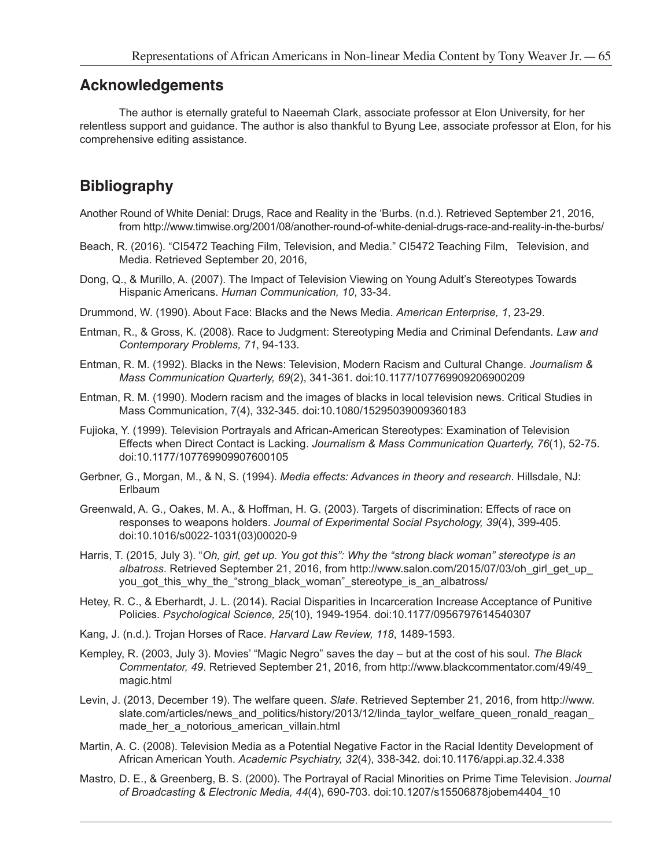### **Acknowledgements**

The author is eternally grateful to Naeemah Clark, associate professor at Elon University, for her relentless support and guidance. The author is also thankful to Byung Lee, associate professor at Elon, for his comprehensive editing assistance.

## **Bibliography**

- Another Round of White Denial: Drugs, Race and Reality in the 'Burbs. (n.d.). Retrieved September 21, 2016, from http://www.timwise.org/2001/08/another-round-of-white-denial-drugs-race-and-reality-in-the-burbs/
- Beach, R. (2016). "CI5472 Teaching Film, Television, and Media." CI5472 Teaching Film, Television, and Media. Retrieved September 20, 2016,
- Dong, Q., & Murillo, A. (2007). The Impact of Television Viewing on Young Adult's Stereotypes Towards Hispanic Americans. *Human Communication, 10*, 33-34.
- Drummond, W. (1990). About Face: Blacks and the News Media. *American Enterprise, 1*, 23-29.
- Entman, R., & Gross, K. (2008). Race to Judgment: Stereotyping Media and Criminal Defendants. *Law and Contemporary Problems, 71*, 94-133.
- Entman, R. M. (1992). Blacks in the News: Television, Modern Racism and Cultural Change. *Journalism & Mass Communication Quarterly, 69*(2), 341-361. doi:10.1177/107769909206900209
- Entman, R. M. (1990). Modern racism and the images of blacks in local television news. Critical Studies in Mass Communication, 7(4), 332-345. doi:10.1080/15295039009360183
- Fujioka, Y. (1999). Television Portrayals and African-American Stereotypes: Examination of Television Effects when Direct Contact is Lacking. *Journalism & Mass Communication Quarterly, 76*(1), 52-75. doi:10.1177/107769909907600105
- Gerbner, G., Morgan, M., & N, S. (1994). *Media effects: Advances in theory and research*. Hillsdale, NJ: **Erlbaum**
- Greenwald, A. G., Oakes, M. A., & Hoffman, H. G. (2003). Targets of discrimination: Effects of race on responses to weapons holders. *Journal of Experimental Social Psychology, 39*(4), 399-405. doi:10.1016/s0022-1031(03)00020-9
- Harris, T. (2015, July 3). "*Oh, girl, get up. You got this": Why the "strong black woman" stereotype is an albatross*. Retrieved September 21, 2016, from http://www.salon.com/2015/07/03/oh\_girl\_get\_up\_ you\_got\_this\_why\_the\_"strong\_black\_woman"\_stereotype\_is\_an\_albatross/
- Hetey, R. C., & Eberhardt, J. L. (2014). Racial Disparities in Incarceration Increase Acceptance of Punitive Policies. *Psychological Science, 25*(10), 1949-1954. doi:10.1177/0956797614540307
- Kang, J. (n.d.). Trojan Horses of Race. *Harvard Law Review, 118*, 1489-1593.
- Kempley, R. (2003, July 3). Movies' "Magic Negro" saves the day but at the cost of his soul. *The Black Commentator, 49*. Retrieved September 21, 2016, from http://www.blackcommentator.com/49/49\_ magic.html
- Levin, J. (2013, December 19). The welfare queen. *Slate*. Retrieved September 21, 2016, from http://www. slate.com/articles/news\_and\_politics/history/2013/12/linda\_taylor\_welfare\_queen\_ronald\_reagan made her a notorious american villain.html
- Martin, A. C. (2008). Television Media as a Potential Negative Factor in the Racial Identity Development of African American Youth. *Academic Psychiatry, 32*(4), 338-342. doi:10.1176/appi.ap.32.4.338
- Mastro, D. E., & Greenberg, B. S. (2000). The Portrayal of Racial Minorities on Prime Time Television. *Journal of Broadcasting & Electronic Media, 44*(4), 690-703. doi:10.1207/s15506878jobem4404\_10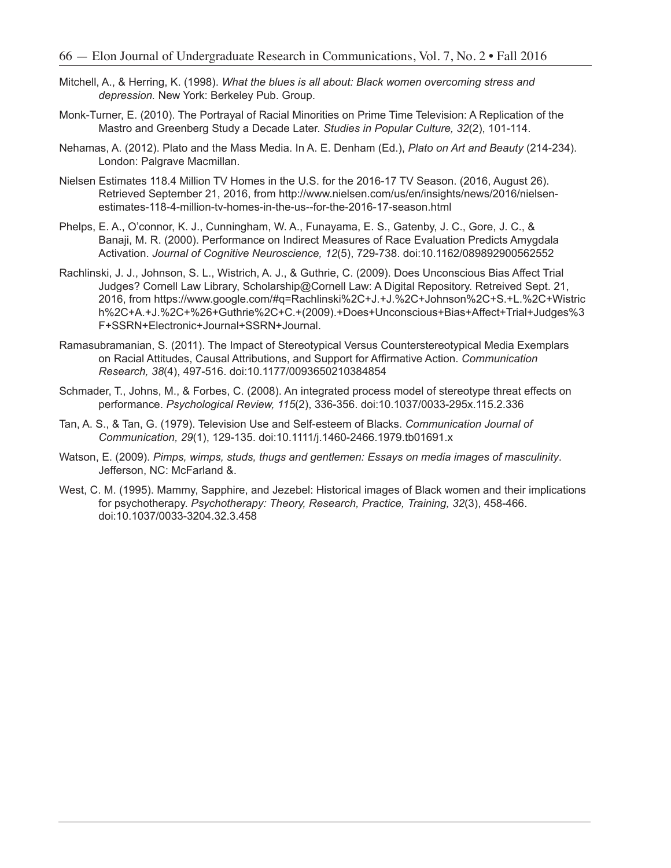- Mitchell, A., & Herring, K. (1998). *What the blues is all about: Black women overcoming stress and depression.* New York: Berkeley Pub. Group.
- Monk-Turner, E. (2010). The Portrayal of Racial Minorities on Prime Time Television: A Replication of the Mastro and Greenberg Study a Decade Later. *Studies in Popular Culture, 32*(2), 101-114.
- Nehamas, A. (2012). Plato and the Mass Media. In A. E. Denham (Ed.), *Plato on Art and Beauty* (214-234). London: Palgrave Macmillan.
- Nielsen Estimates 118.4 Million TV Homes in the U.S. for the 2016-17 TV Season. (2016, August 26). Retrieved September 21, 2016, from http://www.nielsen.com/us/en/insights/news/2016/nielsenestimates-118-4-million-tv-homes-in-the-us--for-the-2016-17-season.html
- Phelps, E. A., O'connor, K. J., Cunningham, W. A., Funayama, E. S., Gatenby, J. C., Gore, J. C., & Banaji, M. R. (2000). Performance on Indirect Measures of Race Evaluation Predicts Amygdala Activation. *Journal of Cognitive Neuroscience, 12*(5), 729-738. doi:10.1162/089892900562552
- Rachlinski, J. J., Johnson, S. L., Wistrich, A. J., & Guthrie, C. (2009). Does Unconscious Bias Affect Trial Judges? Cornell Law Library, Scholarship@Cornell Law: A Digital Repository. Retreived Sept. 21, 2016, from https://www.google.com/#q=Rachlinski%2C+J.+J.%2C+Johnson%2C+S.+L.%2C+Wistric h%2C+A.+J.%2C+%26+Guthrie%2C+C.+(2009).+Does+Unconscious+Bias+Affect+Trial+Judges%3 F+SSRN+Electronic+Journal+SSRN+Journal.
- Ramasubramanian, S. (2011). The Impact of Stereotypical Versus Counterstereotypical Media Exemplars on Racial Attitudes, Causal Attributions, and Support for Affirmative Action. *Communication Research, 38*(4), 497-516. doi:10.1177/0093650210384854
- Schmader, T., Johns, M., & Forbes, C. (2008). An integrated process model of stereotype threat effects on performance. *Psychological Review, 115*(2), 336-356. doi:10.1037/0033-295x.115.2.336
- Tan, A. S., & Tan, G. (1979). Television Use and Self-esteem of Blacks. *Communication Journal of Communication, 29*(1), 129-135. doi:10.1111/j.1460-2466.1979.tb01691.x
- Watson, E. (2009). *Pimps, wimps, studs, thugs and gentlemen: Essays on media images of masculinity*. Jefferson, NC: McFarland &.
- West, C. M. (1995). Mammy, Sapphire, and Jezebel: Historical images of Black women and their implications for psychotherapy. *Psychotherapy: Theory, Research, Practice, Training, 32*(3), 458-466. doi:10.1037/0033-3204.32.3.458